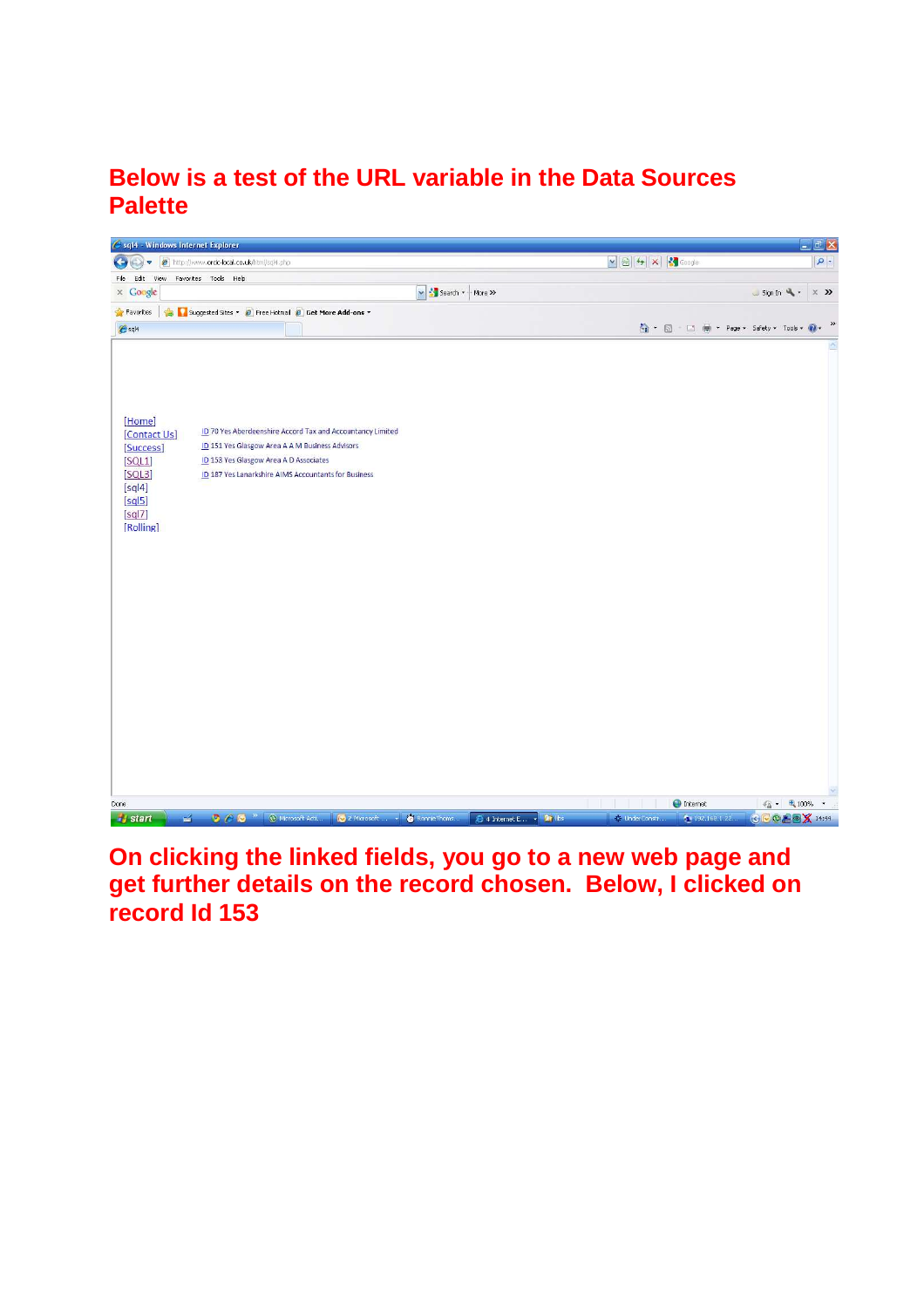## **Below is a test of the URL variable in the Data Sources Palette**



**On clicking the linked fields, you go to a new web page and get further details on the record chosen. Below, I clicked on record Id 153**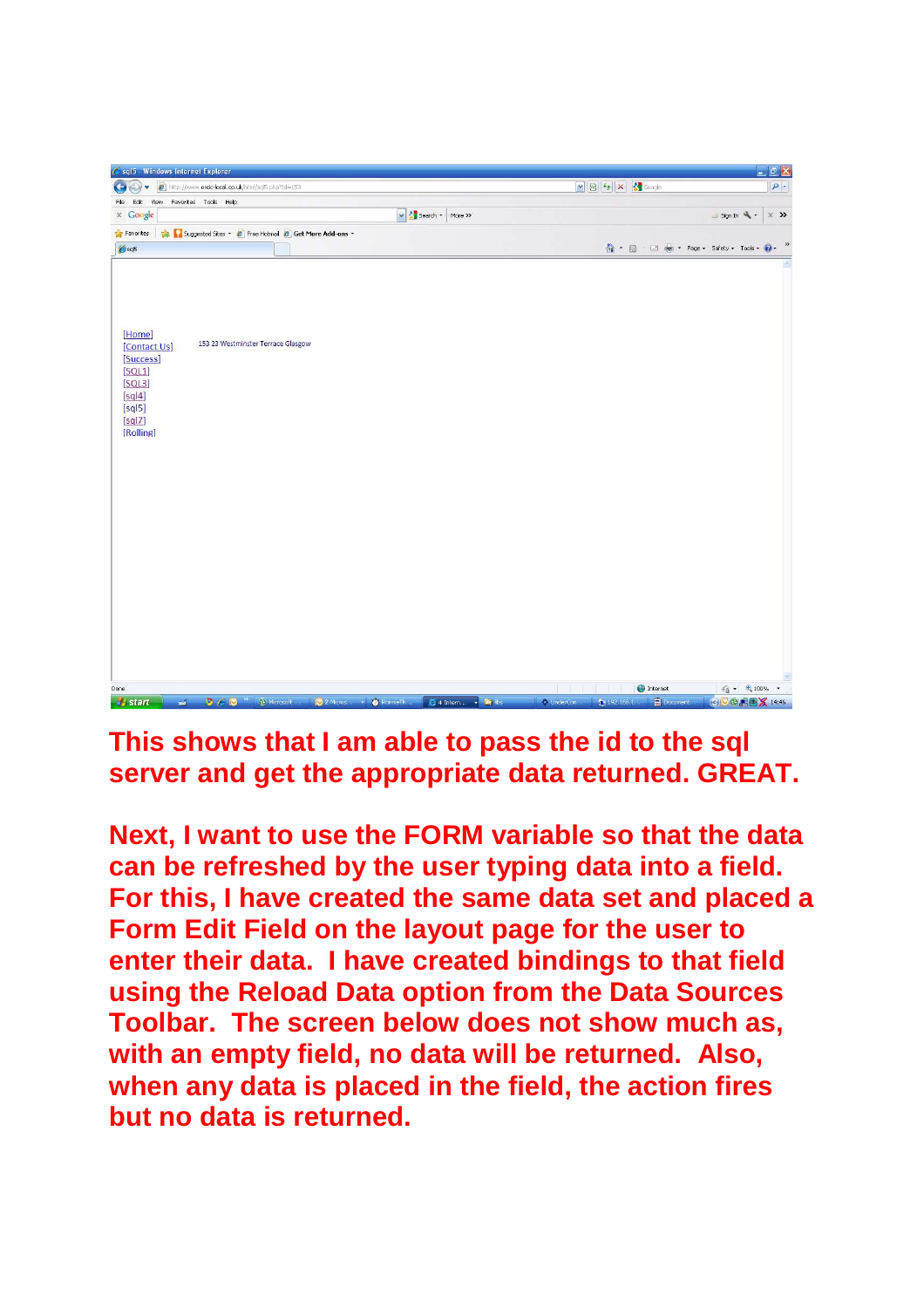

**This shows that I am able to pass the id to the sql server and get the appropriate data returned. GREAT.** 

**Next, I want to use the FORM variable so that the data can be refreshed by the user typing data into a field. For this, I have created the same data set and placed a Form Edit Field on the layout page for the user to enter their data. I have created bindings to that field using the Reload Data option from the Data Sources Toolbar. The screen below does not show much as, with an empty field, no data will be returned. Also, when any data is placed in the field, the action fires but no data is returned.**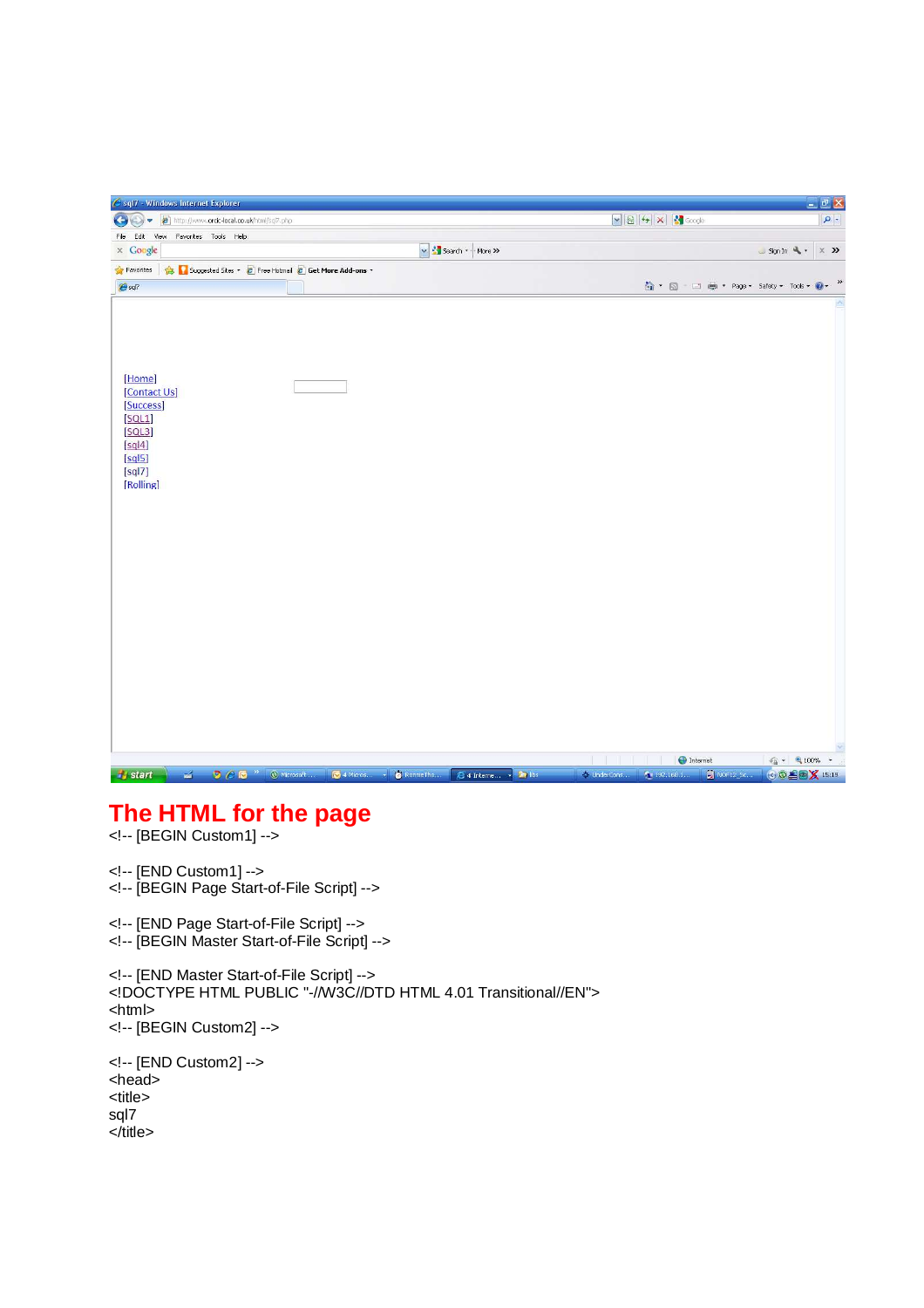| <b>x a</b> + x + Google<br>http://www. <b>orcic-local.co.uk</b> /html/sql7.php<br>Edit View Favorites Tools Help<br>$\times$ Google<br>V Search + - More >><br>SignIn<br>$\times$ »<br>Favorites Single Suggested Sites v 2 Free Hotmail 2 Get More Add-ons v<br>$\bigcirc$ $\cdot$ $\Box$ $\Box$ $\oplus$ $\cdot$ Page $\cdot$ Safety $\cdot$ Tools $\cdot$ $\bigcirc$ $\cdot$ $\cdot$ $\cdot$<br>[Home]<br>[Contact Us]<br>[Success]<br>[SQL1]<br>[SQL3]<br>[sq 4]<br>[sq 5]<br>[sq 7]<br>[Rolling]<br><b>The Communist Communist Communist</b><br><b>O</b> Internet<br>$\frac{1}{2}$ - 2,100% -<br><b>D</b> $\bigcirc$ <b>O</b> $^{\circ\circ}$ <b>O</b> Microsoft <b>O</b> 4 Micros <b>v O</b> RonnieTho <b>E</b> 4 Interne <b>F</b> Ibs<br>$\mathbb{Z}$<br>● ※ UnderCons ● 192.168.1 ■ NOF12_St   ③ ◎ ▲ ■ <mark>※</mark> 15:19 | Sql7 - Windows Internet Explorer |  |  | DEX            |
|-------------------------------------------------------------------------------------------------------------------------------------------------------------------------------------------------------------------------------------------------------------------------------------------------------------------------------------------------------------------------------------------------------------------------------------------------------------------------------------------------------------------------------------------------------------------------------------------------------------------------------------------------------------------------------------------------------------------------------------------------------------------------------------------------------------------------------------|----------------------------------|--|--|----------------|
|                                                                                                                                                                                                                                                                                                                                                                                                                                                                                                                                                                                                                                                                                                                                                                                                                                     | $\left($ $\right)$               |  |  | $\mathbf{Q}$ . |
|                                                                                                                                                                                                                                                                                                                                                                                                                                                                                                                                                                                                                                                                                                                                                                                                                                     | File                             |  |  |                |
|                                                                                                                                                                                                                                                                                                                                                                                                                                                                                                                                                                                                                                                                                                                                                                                                                                     |                                  |  |  |                |
|                                                                                                                                                                                                                                                                                                                                                                                                                                                                                                                                                                                                                                                                                                                                                                                                                                     |                                  |  |  |                |
|                                                                                                                                                                                                                                                                                                                                                                                                                                                                                                                                                                                                                                                                                                                                                                                                                                     | $e^{sq}$                         |  |  |                |
|                                                                                                                                                                                                                                                                                                                                                                                                                                                                                                                                                                                                                                                                                                                                                                                                                                     |                                  |  |  |                |
|                                                                                                                                                                                                                                                                                                                                                                                                                                                                                                                                                                                                                                                                                                                                                                                                                                     | $H$ start                        |  |  |                |

## **The HTML for the page**

<!-- [BEGIN Custom1] -->

```
<!-- [END Custom1] --> 
<!-- [BEGIN Page Start-of-File Script] -->
```
<!-- [END Page Start-of-File Script] --> <!-- [BEGIN Master Start-of-File Script] -->

<!-- [END Master Start-of-File Script] --> <!DOCTYPE HTML PUBLIC "-//W3C//DTD HTML 4.01 Transitional//EN"> <html> <!-- [BEGIN Custom2] --> <!-- [END Custom2] --> <head> <title> sql7 </title>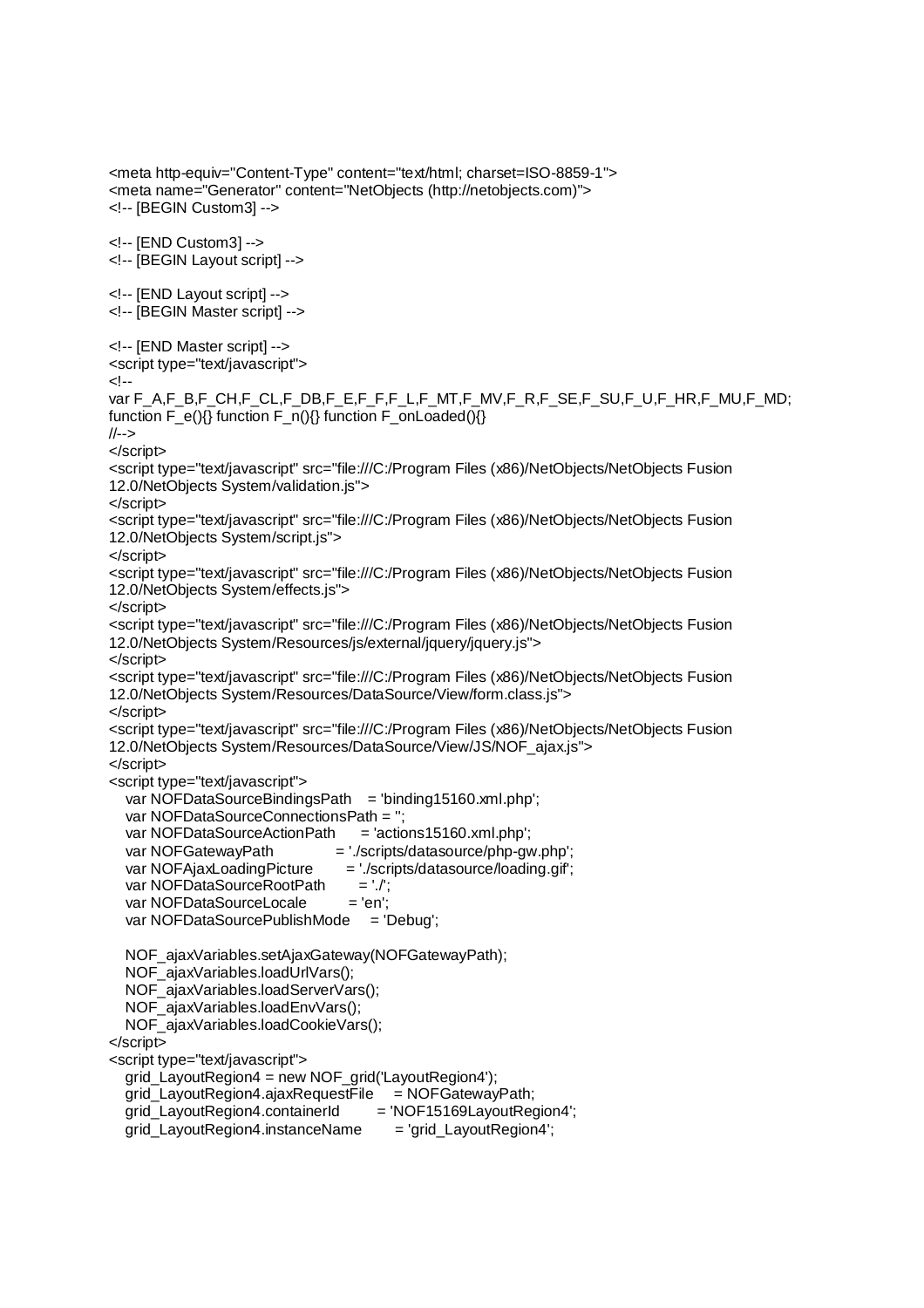<meta http-equiv="Content-Type" content="text/html; charset=ISO-8859-1"> <meta name="Generator" content="NetObjects (http://netobjects.com)"> <!-- [BEGIN Custom3] --> <!-- [END Custom3] --> <!-- [BEGIN Layout script] --> <!-- [END Layout script] --> <!-- [BEGIN Master script] --> <!-- [END Master script] --> <script type="text/javascript">  $\leftarrow$ var F\_A,F\_B,F\_CH,F\_CL,F\_DB,F\_E,F\_F,F\_L,F\_MT,F\_MV,F\_R,F\_SE,F\_SU,F\_U,F\_HR,F\_MU,F\_MD; function F\_e(){} function F\_n(){} function F\_onLoaded(){} //--> </script> <script type="text/javascript" src="file:///C:/Program Files (x86)/NetObjects/NetObjects Fusion 12.0/NetObjects System/validation.js"> </script> <script type="text/javascript" src="file:///C:/Program Files (x86)/NetObjects/NetObjects Fusion 12.0/NetObjects System/script.js"> </script> <script type="text/javascript" src="file:///C:/Program Files (x86)/NetObjects/NetObjects Fusion 12.0/NetObjects System/effects.js"> </script> <script type="text/javascript" src="file:///C:/Program Files (x86)/NetObjects/NetObjects Fusion 12.0/NetObjects System/Resources/js/external/jquery/jquery.js"> </script> <script type="text/javascript" src="file:///C:/Program Files (x86)/NetObjects/NetObjects Fusion 12.0/NetObjects System/Resources/DataSource/View/form.class.js"> </script> <script type="text/javascript" src="file:///C:/Program Files (x86)/NetObjects/NetObjects Fusion 12.0/NetObjects System/Resources/DataSource/View/JS/NOF\_ajax.js"> </script> <script type="text/javascript"> var NOFDataSourceBindingsPath = 'binding15160.xml.php': var NOFDataSourceConnectionsPath = ''; var NOFDataSourceActionPath = 'actions15160.xml.php'; var NOFGatewayPath = './scripts/datasource/php-gw.php': var NOFAjaxLoadingPicture = './scripts/datasource/loading.gif'; var NOFDataSourceRootPath = './'; var NOFDataSourceLocale = 'en'; var NOFDataSourcePublishMode = 'Debug'; NOF\_ajaxVariables.setAjaxGateway(NOFGatewayPath); NOF\_ajaxVariables.loadUrlVars(); NOF\_ajaxVariables.loadServerVars(); NOF\_ajaxVariables.loadEnvVars(); NOF\_ajaxVariables.loadCookieVars(); </script> <script type="text/javascript"> grid\_LayoutRegion4 = new NOF\_grid('LayoutRegion4'); grid LayoutRegion4.ajaxRequestFile  $=$  NOFGatewayPath; grid\_LayoutRegion4.containerId = 'NOF15169LayoutRegion4'; grid\_LayoutRegion4.instanceName = 'grid\_LayoutRegion4';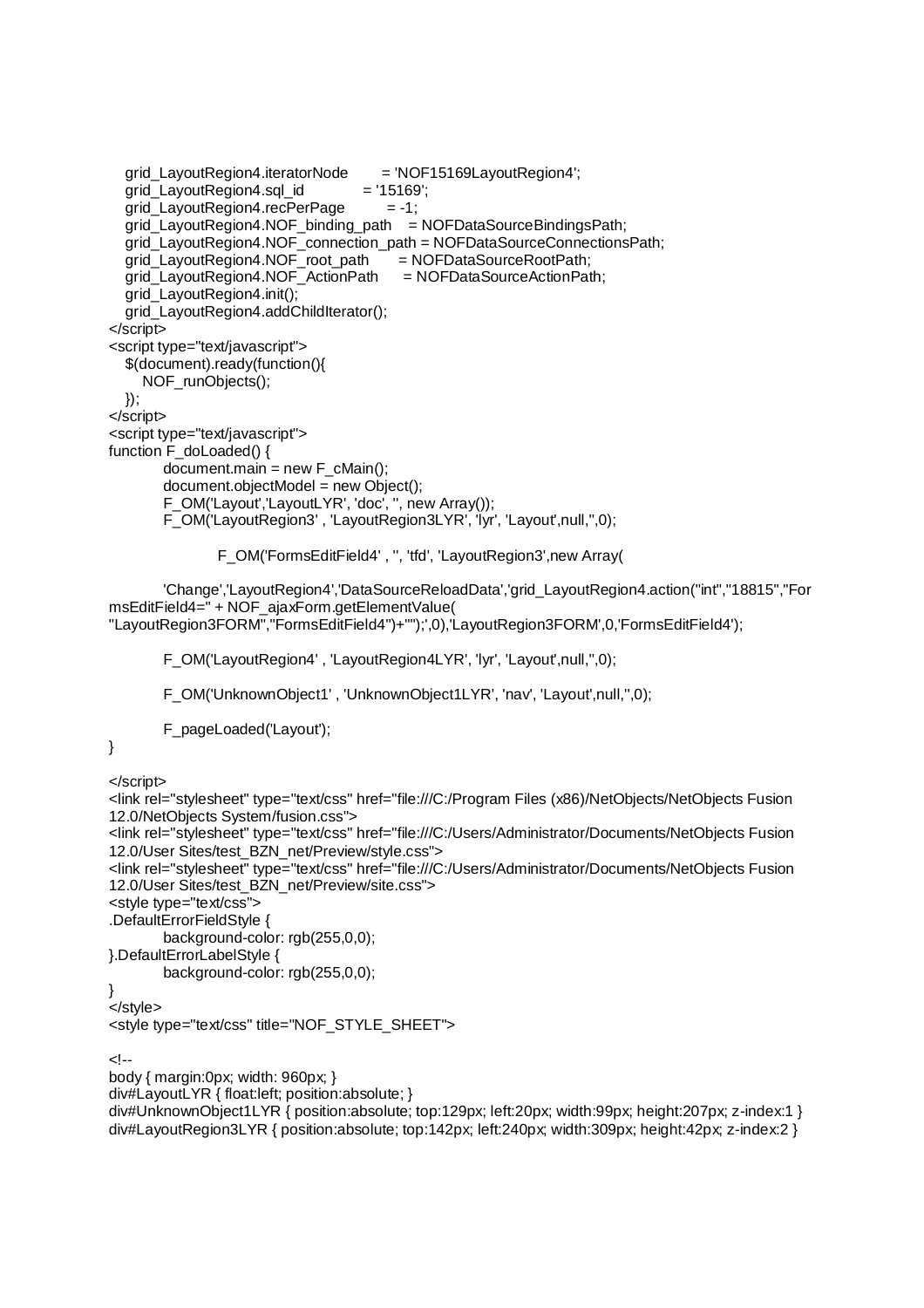```
 grid_LayoutRegion4.iteratorNode = 'NOF15169LayoutRegion4'; 
  grid_LayoutRegion4.sql_id = '15169';grid_LayoutRegion4.recPerPage = -1;
   grid_LayoutRegion4.NOF_binding_path = NOFDataSourceBindingsPath; 
   grid_LayoutRegion4.NOF_connection_path = NOFDataSourceConnectionsPath; 
 grid_LayoutRegion4.NOF_root_path = NOFDataSourceRootPath; 
 grid_LayoutRegion4.NOF_ActionPath = NOFDataSourceActionPath; 
   grid_LayoutRegion4.init(); 
  grid_LayoutRegion4.addChildIterator();
</script> 
<script type="text/javascript"> 
   $(document).ready(function(){ 
      NOF_runObjects(); 
   }); 
</script> 
<script type="text/javascript"> 
function \overrightarrow{F} do Loaded() {
       document.main = new F cMain();
        document.objectModel = new Object(); 
         F_OM('Layout','LayoutLYR', 'doc', '', new Array()); 
         F_OM('LayoutRegion3' , 'LayoutRegion3LYR', 'lyr', 'Layout',null,'',0);
```
F\_OM('FormsEditField4' , '', 'tfd', 'LayoutRegion3',new Array(

 'Change','LayoutRegion4','DataSourceReloadData','grid\_LayoutRegion4.action("int","18815","For msEditField4=" + NOF\_ajaxForm.getElementValue( "LayoutRegion3FORM","FormsEditField4")+"");',0),'LayoutRegion3FORM',0,'FormsEditField4');

F\_OM('LayoutRegion4' , 'LayoutRegion4LYR', 'lyr', 'Layout',null,'',0);

F\_OM('UnknownObject1' , 'UnknownObject1LYR', 'nav', 'Layout',null,'',0);

F\_pageLoaded('Layout');

```
}
```
</script>

```
<link rel="stylesheet" type="text/css" href="file:///C:/Program Files (x86)/NetObjects/NetObjects Fusion 
12.0/NetObjects System/fusion.css"> 
<link rel="stylesheet" type="text/css" href="file:///C:/Users/Administrator/Documents/NetObjects Fusion 
12.0/User Sites/test_BZN_net/Preview/style.css"> 
<link rel="stylesheet" type="text/css" href="file:///C:/Users/Administrator/Documents/NetObjects Fusion 
12.0/User Sites/test_BZN_net/Preview/site.css"> 
<style type="text/css"> 
.DefaultErrorFieldStyle { 
         background-color: rgb(255,0,0); 
}.DefaultErrorLabelStyle { 
         background-color: rgb(255,0,0); 
} 
</style> 
<style type="text/css" title="NOF_STYLE_SHEET"> 
<!-- 
body { margin:0px; width: 960px; } 
div#LayoutLYR { float:left; position:absolute; } 
div#UnknownObject1LYR { position:absolute; top:129px; left:20px; width:99px; height:207px; z-index:1 }
div#LayoutRegion3LYR { position:absolute; top:142px; left:240px; width:309px; height:42px; z-index:2 }
```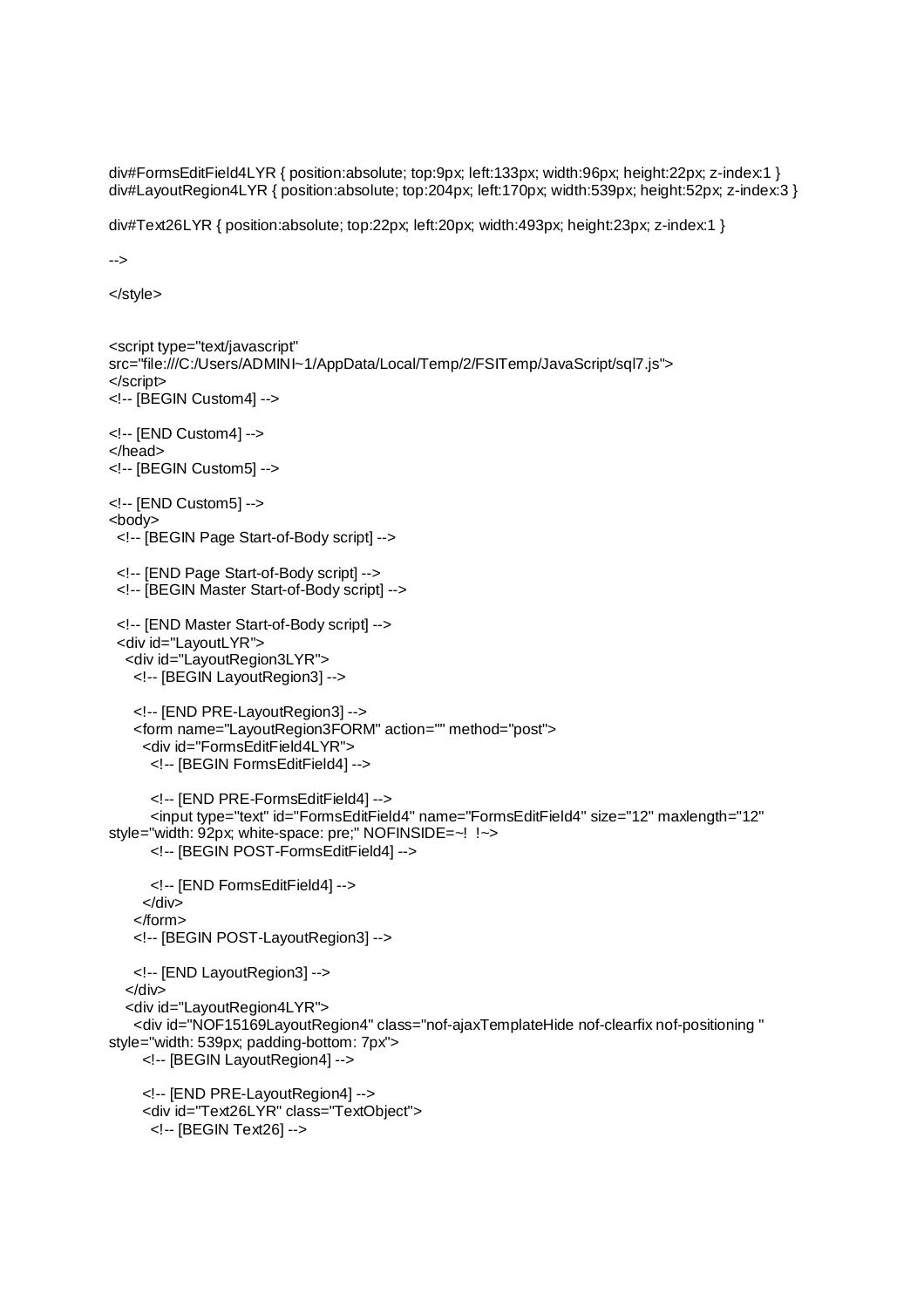div#FormsEditField4LYR { position:absolute; top:9px; left:133px; width:96px; height:22px; z-index:1 } div#LayoutRegion4LYR { position:absolute; top:204px; left:170px; width:539px; height:52px; z-index:3 }

div#Text26LYR { position:absolute; top:22px; left:20px; width:493px; height:23px; z-index:1 }

-->

</style>

```
<script type="text/javascript" 
src="file:///C:/Users/ADMINI~1/AppData/Local/Temp/2/FSITemp/JavaScript/sql7.js"> 
</script> 
<!-- [BEGIN Custom4] --> 
<!-- [END Custom4] --> 
</head> 
<!-- [BEGIN Custom5] --> 
<!-- [END Custom5] --> 
<body> 
  <!-- [BEGIN Page Start-of-Body script] --> 
  <!-- [END Page Start-of-Body script] --> 
  <!-- [BEGIN Master Start-of-Body script] --> 
  <!-- [END Master Start-of-Body script] --> 
  <div id="LayoutLYR"> 
   <div id="LayoutRegion3LYR"> 
    <!-- [BEGIN LayoutRegion3] --> 
    <!-- [END PRE-LayoutRegion3] --> 
    <form name="LayoutRegion3FORM" action="" method="post"> 
      <div id="FormsEditField4LYR"> 
       <!-- [BEGIN FormsEditField4] --> 
       <!-- [END PRE-FormsEditField4] --> 
       <input type="text" id="FormsEditField4" name="FormsEditField4" size="12" maxlength="12" 
style="width: 92px; white-space: pre;" NOFINSIDE=~! !~> 
       <!-- [BEGIN POST-FormsEditField4] --> 
       <!-- [END FormsEditField4] --> 
      </div> 
    </form> 
    <!-- [BEGIN POST-LayoutRegion3] --> 
    <!-- [END LayoutRegion3] --> 
   </div> 
   <div id="LayoutRegion4LYR"> 
    <div id="NOF15169LayoutRegion4" class="nof-ajaxTemplateHide nof-clearfix nof-positioning " 
style="width: 539px; padding-bottom: 7px"> 
      <!-- [BEGIN LayoutRegion4] --> 
      <!-- [END PRE-LayoutRegion4] --> 
      <div id="Text26LYR" class="TextObject"> 
       <!-- [BEGIN Text26] -->
```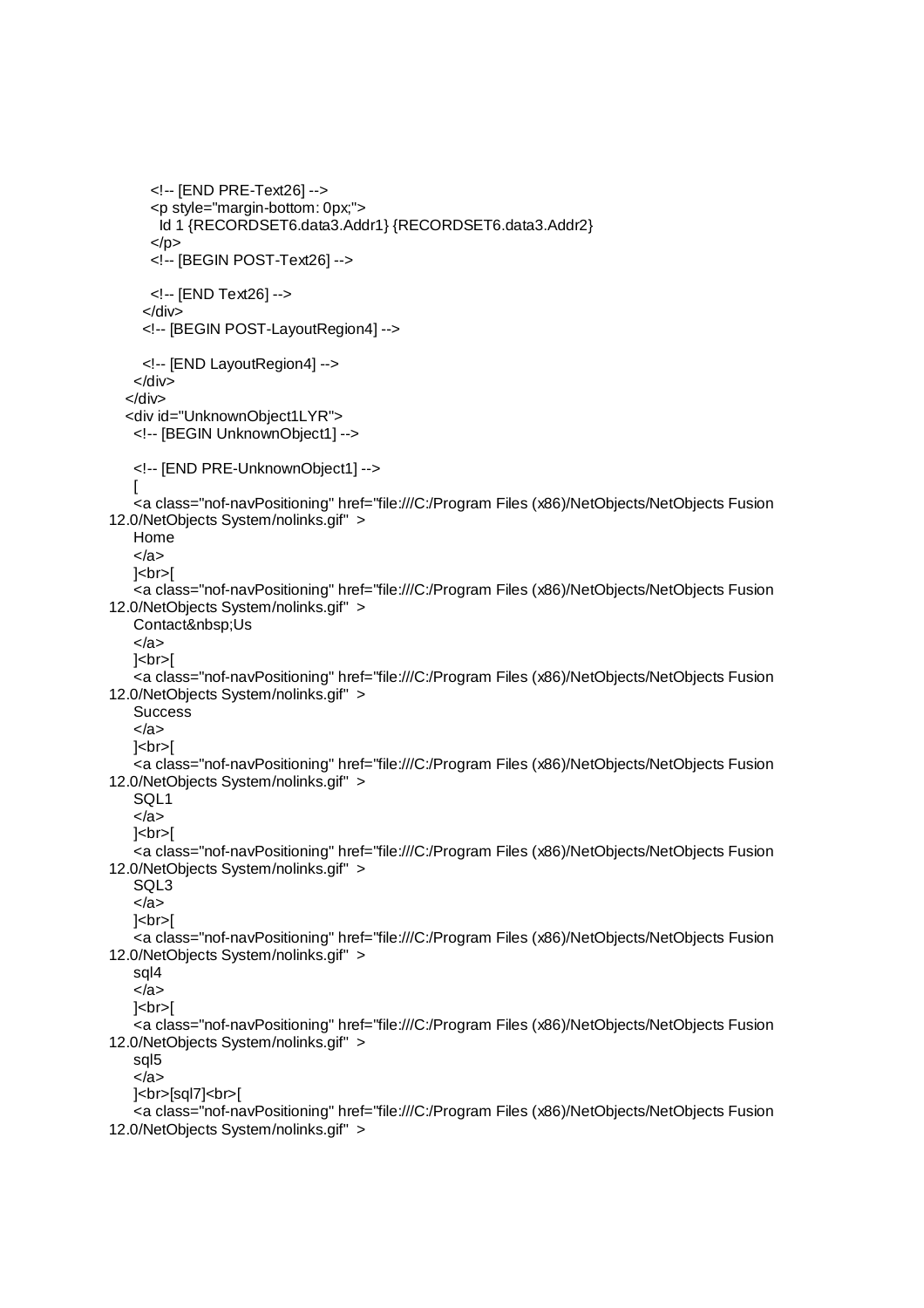```
 <!-- [END PRE-Text26] --> 
       <p style="margin-bottom: 0px;"> 
        Id 1 {RECORDSET6.data3.Addr1} {RECORDSET6.data3.Addr2} 
      </p> <!-- [BEGIN POST-Text26] --> 
       <!-- [END Text26] --> 
      </div> 
      <!-- [BEGIN POST-LayoutRegion4] --> 
      <!-- [END LayoutRegion4] --> 
    </div> 
   </div> 
   <div id="UnknownObject1LYR"> 
    <!-- [BEGIN UnknownObject1] --> 
    <!-- [END PRE-UnknownObject1] --> 
   \mathbf{I} <a class="nof-navPositioning" href="file:///C:/Program Files (x86)/NetObjects/NetObjects Fusion 
12.0/NetObjects System/nolinks.gif" > 
    Home 
    </a> 
   | <br> | <a class="nof-navPositioning" href="file:///C:/Program Files (x86)/NetObjects/NetObjects Fusion 
12.0/NetObjects System/nolinks.gif" > 
   Contact&nbsp:Us
    </a> 
   |<sub>br>]
    <a class="nof-navPositioning" href="file:///C:/Program Files (x86)/NetObjects/NetObjects Fusion 
12.0/NetObjects System/nolinks.gif" > 
   Success
    </a> 
   |<sub>br</sub>| <a class="nof-navPositioning" href="file:///C:/Program Files (x86)/NetObjects/NetObjects Fusion 
12.0/NetObjects System/nolinks.gif" > 
    SQL1 
    </a> 
   |<sub>thr</sub>| <a class="nof-navPositioning" href="file:///C:/Program Files (x86)/NetObjects/NetObjects Fusion 
12.0/NetObjects System/nolinks.gif" > 
    SQL3 
    </a> 
   |<br>[ <a class="nof-navPositioning" href="file:///C:/Program Files (x86)/NetObjects/NetObjects Fusion 
12.0/NetObjects System/nolinks.gif" > 
    sql4 
    </a> 
    ]<br>[ 
    <a class="nof-navPositioning" href="file:///C:/Program Files (x86)/NetObjects/NetObjects Fusion 
12.0/NetObjects System/nolinks.gif" > 
    sql5 
    </a> 
   | <br>[sql7]<br>
    <a class="nof-navPositioning" href="file:///C:/Program Files (x86)/NetObjects/NetObjects Fusion 
12.0/NetObjects System/nolinks.gif" >
```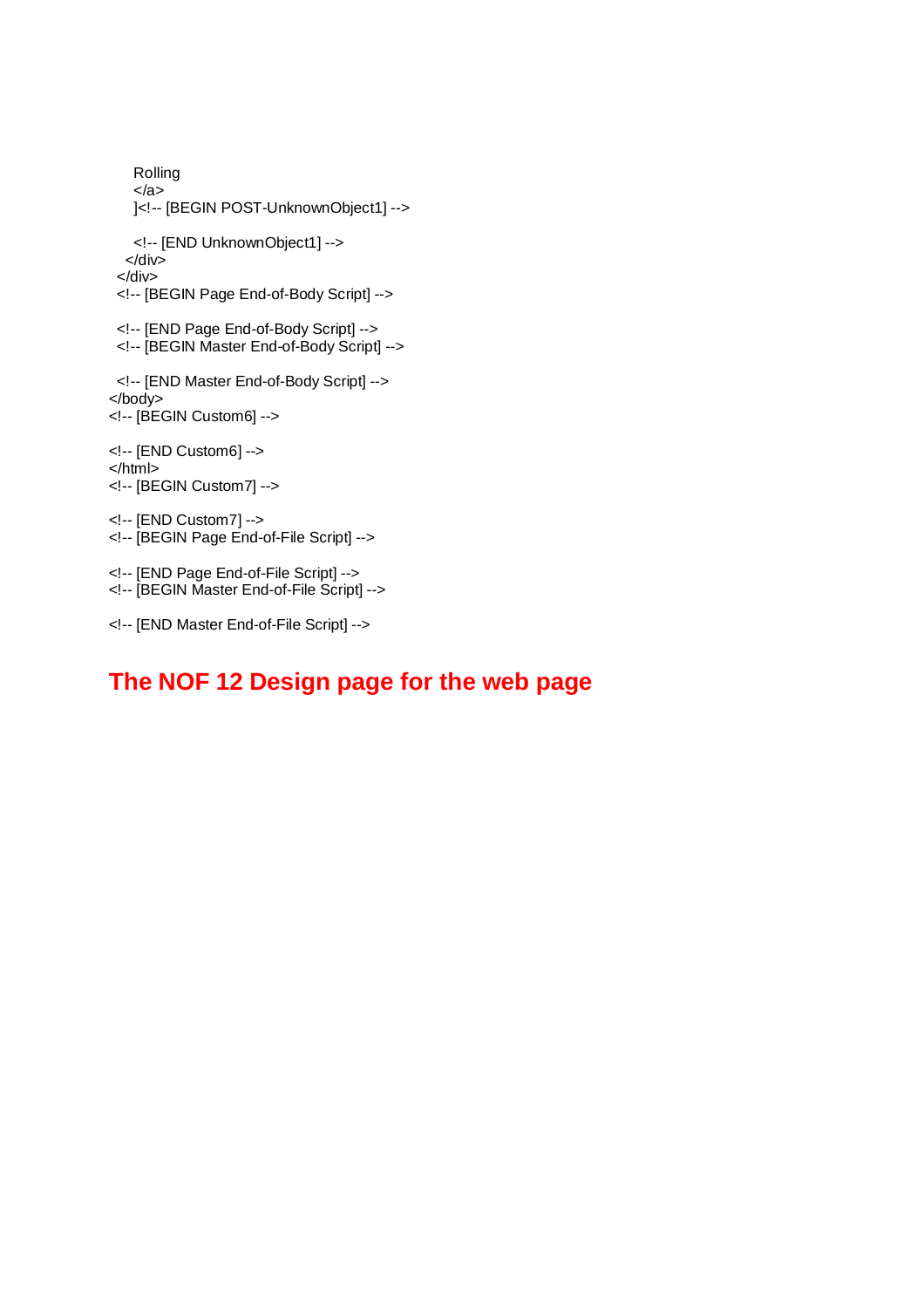```
 Rolling 
    </a> 
    ]<!-- [BEGIN POST-UnknownObject1] --> 
    <!-- [END UnknownObject1] --> 
   </div> 
  </div> 
  <!-- [BEGIN Page End-of-Body Script] --> 
  <!-- [END Page End-of-Body Script] --> 
  <!-- [BEGIN Master End-of-Body Script] --> 
  <!-- [END Master End-of-Body Script] --> 
</body> 
<!-- [BEGIN Custom6] --> 
<!-- [END Custom6] --> 
</html> 
<!-- [BEGIN Custom7] --> 
<!-- [END Custom7] --> 
<!-- [BEGIN Page End-of-File Script] --> 
<!-- [END Page End-of-File Script] --> 
<!-- [BEGIN Master End-of-File Script] --> 
<!-- [END Master End-of-File Script] -->
```
## **The NOF 12 Design page for the web page**